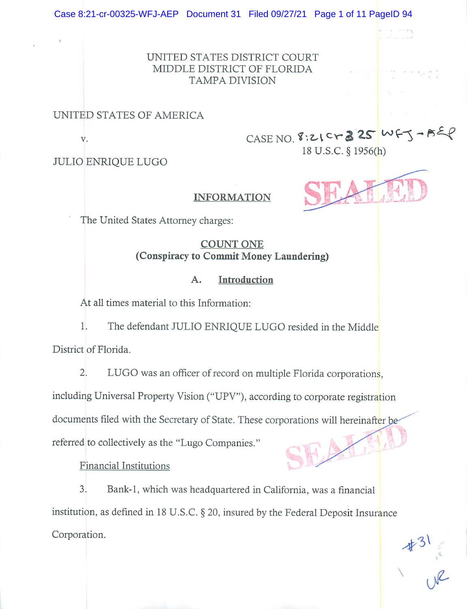UNITED STATES DISTRICT COURT MIDDLE DISTRICT OF FLORIDA TAMPA DIVISION

### UNITED STATES OF AMERICA

V.

CASE NO. 8:21 Cr  $325$  WFJ-BEP 18 U.S.C.§ 1956(h)

. .. .. . >

 $\frac{1}{2}$ 

JULIO ENRIQUE LUGO

### INFORMATION

The United States Attorney charges:

COUNT ONE (Conspiracy to Commit Money Laundering)

### A. Introduction

At all times material to this Information:

1. The defendant JULIO ENRIQUE LUGO resided in the Middle District of Florida.

2. LUGO was an officer of record on multiple Florida corporations,

including Universal Property Vision ("UPV"), according to corporate registration

documents filed with the Secretary of State. These corporations will hereinafter be

referred to collectively as the "Lugo Companies."

Financial Institutions

3. Bank-I, which was headquartered in California, was a fmancial institution, as defmed in 18 U.S.C. § 20, insured by the Federal Deposit Insurance Corporation.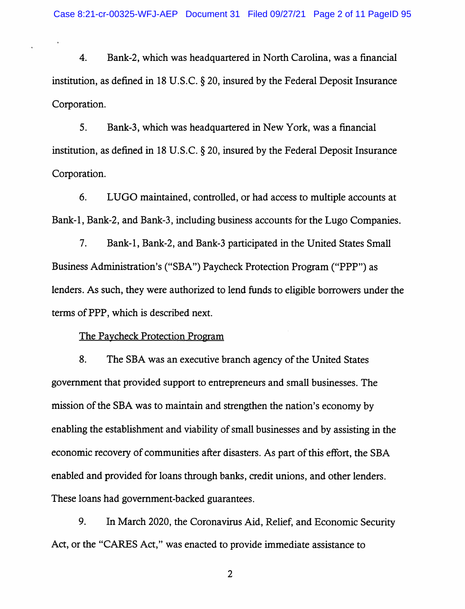4. Bank-2, which was headquartered in North Carolina, was a financial institution, as defined in 18 U.S.C.  $\S$  20, insured by the Federal Deposit Insurance Corporation.

5. Bank-3, which was headquartered in New York, was a financial institution, as defined in 18 U.S.C. § 20, insured by the Federal Deposit Insurance Corporation.

6. LUGO maintained, controlled, or had access to multiple accounts at Bank-1, Bank-2, and Bank-3, including business accounts for the Lugo Companies.

7. Bank-1, Bank-2, and Bank-3 participated in the United States Small Business Administration's ("SBA") Paycheck Protection Program ("PPP") as lenders. As such, they were authorized to lend funds to eligible borrowers under the terms of PPP, which is described next.

#### The Paycheck Protection Program

8. The SBA was an executive branch agency of the United States government that provided support to entrepreneurs and small businesses. The mission of the SBA was to maintain and strengthen the nation's economy by enabling the establishment and viability of small businesses and by assisting in the economic recovery of communities after disasters. As part of this effort, the SBA enabled and provided for loans through banks, credit unions, and other lenders. These loans had government-backed guarantees.

9. In March 2020, the Coronavirus Aid, Relief, and Economic Security Act, or the "CARES Act," was enacted to provide immediate assistance to

 $\overline{2}$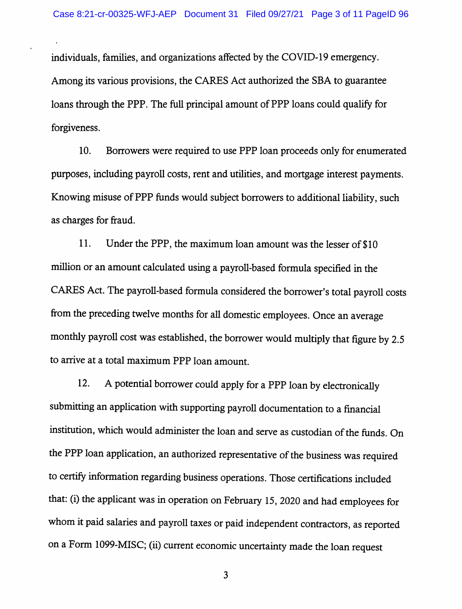individuals, families, and organizations affected by the COVID-19 emergency. Among its various provisions, the CARES Act authorized the SBA to guarantee loans through the PPP. The full principal amount of PPP loans could qualify for forgiveness.

10. Borrowers were required to use PPP loan proceeds only for enumerated purposes, including payroll costs, rent and utilities, and mortgage interest payments. Knowing misuse of PPP funds would subject borrowers to additional liability, such as charges for fraud.

11. Under the PPP, the maximum loan amount was the lesser of \$10 million or an amount calculated using a payroll-based formula specified in the CARES Act. The payroll-based formula considered the borrower's total payroll costs from the preceding twelve months for all domestic employees. Once an average monthly payroll cost was established, the borrower would multiply that figure by 2.5 to arrive at a total maximum PPP loan amount.

12. A potential borrower could apply for a PPP loan by electronically submitting an application with supporting payroll documentation to a financial institution, which would administer the loan and serve as custodian of the funds. On the PPP loan application, an authorized representative of the business was required to certify information regarding business operations. Those certifications included that: (i) the applicant was in operation on February 15, 2020 and had employees for whom it paid salaries and payroll taxes or paid independent contractors, as reported on a Form 1099-MISC; (ii) current economic uncertainty made the loan request

 $\overline{\mathbf{3}}$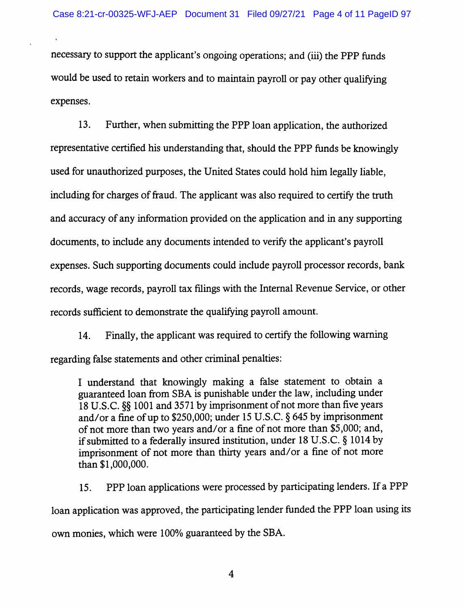necessary to support the applicant's ongoing operations; and (iii) the PPP funds would be used to retain workers and to maintain payroll or pay other qualifying expenses.

13. Further, when submitting the PPP loan application, the authorized representative certified his understanding that, should the PPP funds be knowingly used for unauthorized purposes, the United States could hold him legally liable, including for charges of fraud. The applicant was also required to certify the truth and accuracy of any information provided on the application and in any supporting documents, to include any documents intended to verify the applicant's payroll expenses. Such supporting documents could include payroll processor records, bank records, wage records, payroll tax filings with the Internal Revenue Service, or other records sufficient to demonstrate the qualifying payroll amount.

14. Finally, the applicant was required to certify the following warning regarding false statements and other criminal penalties:

I understand that knowingly making a false statement to obtain a guaranteed loan from SBA is punishable under the law, including under 18 U.S.C. §§ 1001 and 3571 by imprisonment of not more than five years and/or a fine of up to \$250,000; under 15 U.S.C. § 645 by imprisonment of not more than two years and/or a fine of not more than \$5,000; and, if submitted to a federally insured institution, under 18 U.S.C. § 1014 by imprisonment of not more than thirty years and/or a fine of not more than \$1,000,000.

15. PPP loan applications were processed by participating lenders. If a PPP loan application was approved, the participating lender funded the PPP loan using its own monies, which were 100% guaranteed by the SBA.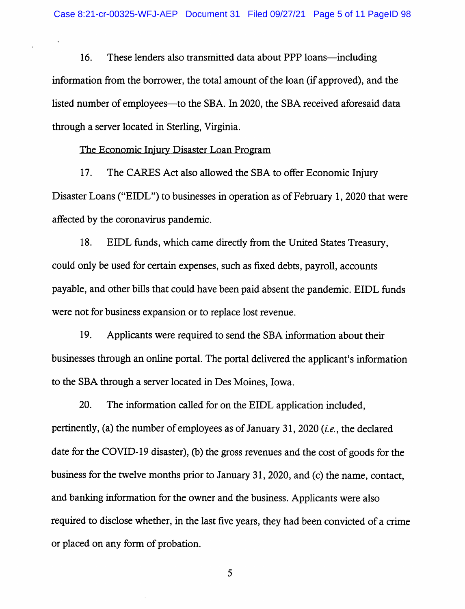16. These lenders also transmitted data about PPP loans—including information from the borrower, the total amount of the loan (if approved), and the listed number of employees—to the SBA. In 2020, the SBA received aforesaid data through a server located in Sterling, Virginia.

#### The Economic Iniurv Disaster Loan Program

17. The CARES Act also allowed the SBA to offer Economic Injury Disaster Loans ("EIDL") to businesses in operation as of February 1, 2020 that were affected by the coronavirus pandemic.

18. EIDL funds, which came directiy from the United States Treasury, could only be used for certain expenses, such as fixed debts, payroll, accounts payable, and other bills that could have been paid absent the pandemic. EIDL funds were not for business expansion or to replace lost revenue.

19. Applicants were required to send the SBA information about their businesses through an online portal. The portal delivered the applicant's information to the SBA through a server located in Des Moines, Iowa.

20. The information called for on the EIDL application included, pertinently, (a) the number of employees as of January 31, 2020 {i.e., the declared date for the COVID-19 disaster), (b) the gross revenues and the cost of goods for the business for the twelve months prior to January 31, 2020, and (c) the name, contact, and banking information for the owner and the business. Applicants were also required to disclose whether, in the last five years, they had been convicted of a crime or placed on any form of probation.

5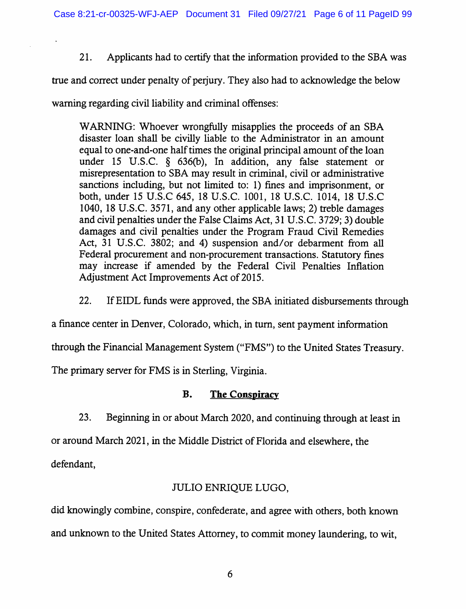21. Applicants had to certify that the information provided to the SBA was

true and correct under penalty of periury. They also had to acknowledge the below

warning regarding civil liability and criminal offenses:

WARNING: Whoever wrongfully misapplies the proceeds of an SBA disaster loan shall be civilly liable to the Administrator in an amount equal to one-and-one half times the original principal amount of the loan under 15 U.S.C. § 636(b), In addition, any false statement or misrepresentation to SBA may result in criminal, civil or administrative sanctions including, but not limited to: 1) fines and imprisonment, or both, under 15 U.S.C 645, 18 U.S.C. 1001, 18 U.S.C. 1014, 18 U.S.C 1040, 18 U.S.C. 3571, and any other applicable laws; 2) treble damages and civil penalties under the False Claims Act, 31 U.S.C. 3729; 3) double damages and civil penalties under the Program Fraud Civil Remedies Act, 31 U.S.C. 3802; and 4) suspension and/or debarment from all Federal procurement and non-procurement transactions. Statutory fines may increase if amended by the Federal Civil Penalties Inflation Adjustment Act Improvements Act of 2015.

22. If EIDL funds were approved, the SBA initiated disbursements through

a finance center in Denver, Colorado, which, in turn, sent payment information

through the Financial Management System ("FMS") to the United States Treasury.

The primary server for FMS is in Sterling, Virginia.

## B. The Conspiracy

23. Beginning in or about March 2020, and continuing through at least in

or around March 2021, in the Middle District of Florida and elsewhere, the

defendant,

# JULIO ENRIQUE LUGO,

did knowingly combine, conspire, confederate, and agree with others, both known and unknown to the United States Attorney, to commit money laundering, to wit.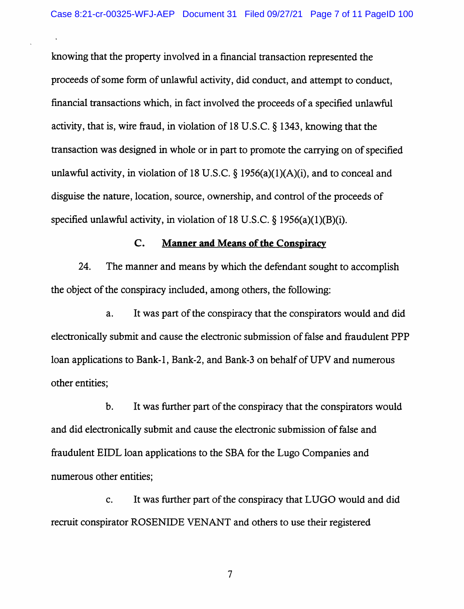$\ddot{\phantom{1}}$ 

knowing that the property involved in a financial transaction represented the proceeds of some form of unlawful activity, did conduct, and attempt to conduct, financial transactions which, in fact involved the proceeds of a specified unlawful activity, that is, wire fraud, in violation of 18 U.S.C. § 1343, knowing that the transaction was designed in whole or in part to promote the carrying on of specified unlawful activity, in violation of 18 U.S.C.  $\S$  1956(a)(1)(A)(i), and to conceal and disguise the nature, location, source, ownership, and control of the proceeds of specified unlawful activity, in violation of 18 U.S.C.  $\S$  1956(a)(1)(B)(i).

#### C. Manner and Means of the Conspiracy

24. The manner and means by which the defendant sought to accomplish the object of the conspiracy included, among others, the following:

a. It was part of the conspiracy that the conspirators would and did electronically submit and cause the electronic submission of false and fraudulent PPP loan applications to Bank-1, Bank-2, and Bank-3 on behalf of UPV and numerous other entities;

b. It was further part of the conspiracy that the conspirators would and did electronically submit and cause the electronic submission of false and fraudulent EIDL loan applications to the SBA for the Lugo Companies and numerous other entities;

c. It was further part of the conspiracy that LUGO would and did recruit conspirator ROSENIDE VENANT and others to use their registered

 $\overline{7}$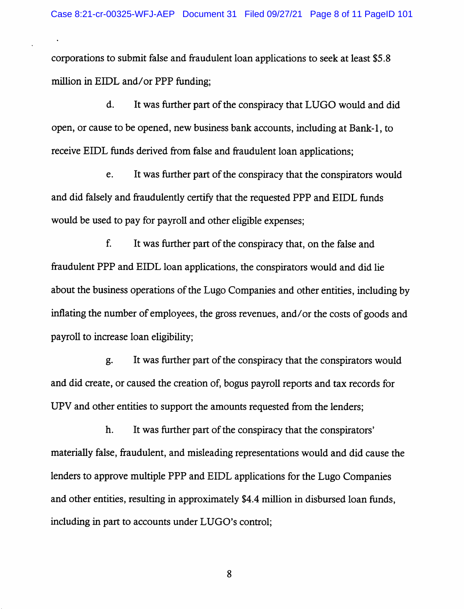corporations to submit false and fraudulent loan applications to seek at least \$5.8 million in EIDL and/or PPP funding;

 $\overline{a}$ 

d. It was further part of the conspiracy that LUGO would and did open, or cause to be opened, new business bank accounts, including at Bank-1, to receive EIDL funds derived from false and fraudulent loan applications;

e. It was further part of the conspiracy that the conspirators would and did falsely and fraudulently certify that the requested PPP and EIDL funds would be used to pay for payroll and other eligible expenses;

f. It was further part of the conspiracy that, on the false and fraudulent PPP and EIDL loan applications, the conspirators would and did lie about the business operations of the Lugo Companies and other entities, including by inflating the number of employees, the gross revenues, and/or the costs of goods and payroll to increase loan eligibility;

g. It was further part of the conspiracy that the conspirators would and did create, or caused the creation of, bogus payroll reports and tax records for UPV and other entities to support the amounts requested from the lenders;

h. It was further part of the conspiracy that the conspirators' materially false, fraudulent, and misleading representations would and did cause the lenders to approve multiple PPP and EIDL applications for the Lugo Companies and other entities, resulting in approximately \$4.4 million in disbursed loan funds, including in part to accounts under LUGO's control;

8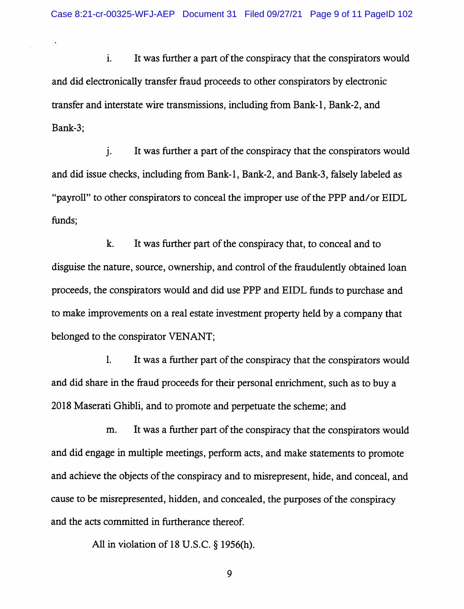i. It was further a part of the conspiracy that the conspirators would and did electronically transfer fraud proceeds to other conspirators by electronic transfer and interstate wire transmissions, including from Bank-1, Bank-2, and Bank-3;

j. It was further a part of the conspiracy that the conspirators would and did issue checks, including from Bank-1, Bank-2, and Bank-3, falsely labeled as "payroll" to other conspirators to conceal the improper use of the PPP and/or EIDL funds;

k. It was further part of the conspiracy that, to conceal and to disguise the nature, source, ownership, and control of the fraudulently obtained loan proceeds, the conspirators would and did use PPP and EIDL funds to purchase and to make improvements on a real estate investment property held by a company that belonged to the conspirator VENANT;

1. It was a further part of the conspiracy that the conspirators would and did share in the fraud proceeds for their personal enrichment, such as to buy a 2018 Maserati Ghibli, and to promote and perpetuate the scheme; and

m. It was a further part of the conspiracy that the conspirators would and did engage in multiple meetings, perform acts, and make statements to promote and achieve the objects of the conspiracy and to misrepresent, hide, and conceal, and cause to be misrepresented, hidden, and concealed, the purposes of the conspiracy and the acts committed in furtherance thereof.

All in violation of 18 U.S.C. § 1956(h).

9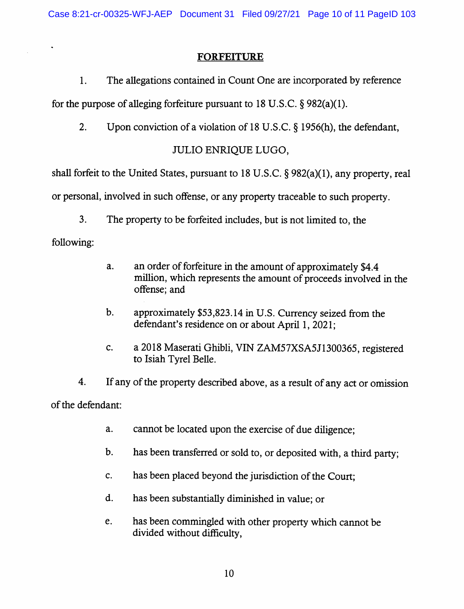## FORFEITURE

1. The allegations contained in Count One are incorporated by reference

for the purpose of alleging forfeiture pursuant to 18 U.S.C.  $\S 982(a)(1)$ .

2. Upon conviction of a violation of 18 U.S.C. § 1956(h), the defendant,

# JULIO ENRIQUE LUGO,

shall forfeit to the United States, pursuant to 18 U.S.C. § 982(a)(1), any property, real

or personal, involved in such offense, or any property traceable to such property.

3. The property to be forfeited includes, but is not limited to, the

following:

- a. an order of forfeiture in the amount of approximately \$4.4 million, which represents the amount of proceeds involved in the offense; and
- b. approximately \$53,823.14 in U.S. Currency seized from the defendant's residence on or about April 1, 2021;
- c. a 2018 Maserati Ghibli, VIN ZAM57XSA5J1300365, registered to Isiah Tyrel Belle.

4. If any of the property described above, as a result of any act or omission of the defendant:

- a. cannot be located upon the exercise of due diligence;
- b. has been transferred or sold to, or deposited with, a third party;
- c. has been placed beyond the jurisdiction of the Court;
- d. has been substantially diminished in value; or
- e. has been commingled with other property which cannot be divided without difficulty.